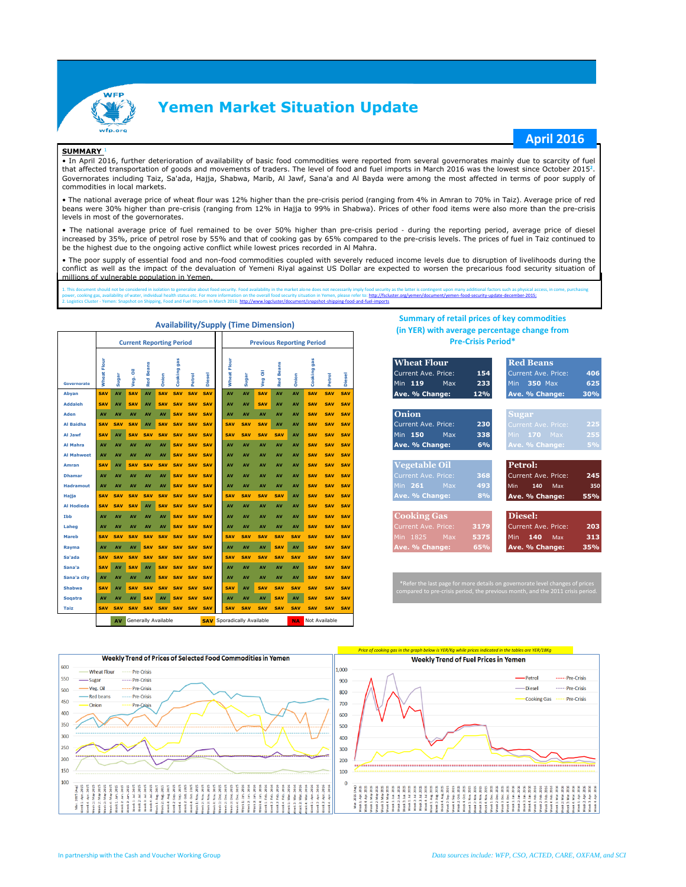

## **Yemen Market Situation Update**

#### **SUMMARY** <sup>1</sup>

### **April 2016**

• In April 2016, further deterioration of availability of basic food commodities were reported from several governorates mainly due to scarcity of fuel that affected transportation of goods and movements of traders. The level of food and fuel imports in March 2016 was the lowest since October 2015**<sup>2</sup>** . Governorates including Taiz, Sa'ada, Hajja, Shabwa, Marib, Al Jawf, Sana'a and Al Bayda were among the most affected in terms of poor supply of commodities in local markets.

• The national average price of wheat flour was 12% higher than the pre-crisis period (ranging from 4% in Amran to 70% in Taiz). Average price of red beans were 30% higher than pre-crisis (ranging from 12% in Hajja to 99% in Shabwa). Prices of other food items were also more than the pre-crisis levels in most of the governorates.

• The national average price of fuel remained to be over 50% higher than pre-crisis period - during the reporting period, average price of diesel increased by 35%, price of petrol rose by 55% and that of cooking gas by 65% compared to the pre-crisis levels. The prices of fuel in Taiz continued to be the highest due to the ongoing active conflict while lowest prices recorded in Al Mahra.

• The poor supply of essential food and non-food commodities coupled with severely reduced income levels due to disruption of livelihoods during the conflict as well as the impact of the devaluation of Yemeni Riyal against US Dollar are expected to worsen the precarious food security situation of millions of vulnerable population in Yemen.

1. This document should not be considered in isolation to generalize about food security. Food availability in the market alone does not necessarily imply food security, as the latter is contingent upon many additional fac

|                    |                           |                  | <b>Current Reporting Period</b> |                       |            |                |                        |                          | <b>Previous Reporting Period</b> |                  |                  |                                   |                  |            |                          |                          |                          | <b>Pre-Crisis Period*</b>                                                                                                                                          |  |  |  |  |  |  |  |  |  |  |  |
|--------------------|---------------------------|------------------|---------------------------------|-----------------------|------------|----------------|------------------------|--------------------------|----------------------------------|------------------|------------------|-----------------------------------|------------------|------------|--------------------------|--------------------------|--------------------------|--------------------------------------------------------------------------------------------------------------------------------------------------------------------|--|--|--|--|--|--|--|--|--|--|--|
| <b>Governorate</b> | Flour<br>Wheat            | Sugar            | ā<br>Veg.                       | <b>Beans</b><br>Red I | Onion      | gas<br>Cooking | Petrol                 | <b>Diesel</b>            |                                  | tř<br>Wheat      | Sugar            | Veg Oil                           | <b>Red Beans</b> | Onion      | gas<br>Cooking           | Petrol                   | <b>Diesel</b>            | <b>Wheat Flour</b><br><b>Red Beans</b><br>Current Ave. Price:<br>406<br>154<br><b>Current Ave. Price:</b><br>625<br>Min 119<br>233<br>350 Max<br>Max<br><b>Min</b> |  |  |  |  |  |  |  |  |  |  |  |
| Abyan              | <b>SAV</b>                | AV               | SAV                             | AV                    | <b>SAV</b> | SAV            | <b>SAV</b>             | SAV                      |                                  | AV               | <b>AV</b>        | <b>SAV</b>                        | AV               | AV         | <b>SAV</b>               | <b>SAV</b>               | <b>SAV</b>               | Ave. % Change:<br>12%<br>30%<br>Ave. % Change:                                                                                                                     |  |  |  |  |  |  |  |  |  |  |  |
| <b>Addaleh</b>     | <b>SAV</b>                | AV               | <b>SAV</b>                      | AV                    | <b>SAV</b> | <b>SAV</b>     | <b>SAV</b>             | <b>SAV</b>               |                                  | AV               | AV               | <b>SAV</b>                        | AV               | AV         | <b>SAV</b>               | <b>SAV</b>               | <b>SAV</b>               | Onion                                                                                                                                                              |  |  |  |  |  |  |  |  |  |  |  |
| Aden<br>Al Baidha  | <b>AV</b><br><b>SAV</b>   | AV<br><b>SAV</b> | AV<br><b>SAV</b>                | AV<br>AV              | AV         |                | SAV SAV<br>SAV SAV SAV | <b>SAV</b><br><b>SAV</b> |                                  | AV<br><b>SAV</b> | AV<br><b>SAV</b> | AV<br><b>SAV</b>                  | AV<br>AV         | AV<br>AV   | <b>SAV</b><br><b>SAV</b> | <b>SAV</b><br><b>SAV</b> | <b>SAV</b><br><b>SAV</b> | Sugar<br>Current Ave. Price:<br>230<br>225                                                                                                                         |  |  |  |  |  |  |  |  |  |  |  |
| Al Jawf            | <b>SAV</b>                | AV               | <b>SAV</b>                      | <b>SAV</b>            | <b>SAV</b> | <b>SAV</b>     | <b>SAV</b>             | <b>SAV</b>               |                                  | <b>SAV</b>       | <b>SAV</b>       | <b>SAV</b>                        | <b>SAV</b>       | AV         | <b>SAV</b>               | <b>SAV</b>               | <b>SAV</b>               | Current Ave. Price:<br>Min 150<br>338<br>255<br>Max<br>Min <b>170</b> Max                                                                                          |  |  |  |  |  |  |  |  |  |  |  |
| <b>Al Mahra</b>    | AV                        | AV               | AV                              | AV                    | AV         | <b>SAV</b>     | <b>SAV</b>             | SAV                      |                                  | AV               | AV               | AV                                | AV               | AV         | <b>SAV</b>               | <b>SAV</b>               | <b>SAV</b>               | Ave. % Change:<br>6%<br>5%<br>Ave. % Change:                                                                                                                       |  |  |  |  |  |  |  |  |  |  |  |
| <b>Al Mahweet</b>  | AV                        | AV               | AV                              | AV                    | AV         |                | SAV SAV                | <b>SAV</b>               |                                  | AV               | AV               | AV                                | AV               | AV         | <b>SAV</b>               | <b>SAV</b>               | <b>SAV</b>               |                                                                                                                                                                    |  |  |  |  |  |  |  |  |  |  |  |
| Amran              | <b>SAV</b>                | AV               | <b>SAV</b>                      | <b>SAV</b>            | <b>SAV</b> | <b>SAV</b>     | <b>SAV</b>             | <b>SAV</b>               |                                  | AV               | AV               | AV                                | AV               | AV         | <b>SAV</b>               | <b>SAV</b>               | <b>SAV</b>               | <b>Vegetable Oil</b><br>Petrol:                                                                                                                                    |  |  |  |  |  |  |  |  |  |  |  |
| <b>Dhamar</b>      | AV                        | AV               | AV                              | AV                    | AV         | <b>SAV</b>     | <b>SAV</b>             | <b>SAV</b>               |                                  | AV               | AV               | AV                                | AV               | AV         | <b>SAV</b>               | <b>SAV</b>               | <b>SAV</b>               | 245<br><b>Current Ave. Price:</b><br>368<br>Current Ave. Price:                                                                                                    |  |  |  |  |  |  |  |  |  |  |  |
| <b>Hadramout</b>   | <b>AV</b>                 | AV               | AV                              | AV                    | AV         |                | SAV SAV                | <b>SAV</b>               |                                  | AV               | AV               | AV                                | AV               | AV         | <b>SAV</b>               | <b>SAV</b>               | <b>SAV</b>               | 493<br>261<br>Max<br>Min.<br>350<br>Min<br>140<br>Max                                                                                                              |  |  |  |  |  |  |  |  |  |  |  |
| Hajja              | <b>SAV</b>                | <b>SAV</b>       | <b>SAV</b>                      | <b>SAV</b>            | <b>SAV</b> | <b>SAV</b>     | <b>SAV</b>             | <b>SAV</b>               |                                  | <b>SAV</b>       | <b>SAV</b>       | <b>SAV</b>                        | <b>SAV</b>       | AV         | <b>SAV</b>               | <b>SAV</b>               | <b>SAV</b>               | Ave. % Change:<br>8%<br>55%<br>Ave. % Change:                                                                                                                      |  |  |  |  |  |  |  |  |  |  |  |
| <b>Al Hodieda</b>  | <b>SAV</b>                | <b>SAV</b>       | <b>SAV</b>                      | AV                    | <b>SAV</b> | <b>SAV</b>     | <b>SAV</b>             | <b>SAV</b>               |                                  | AV               | AV               | AV                                | AV               | AV         | <b>SAV</b>               | <b>SAV</b>               | <b>SAV</b>               |                                                                                                                                                                    |  |  |  |  |  |  |  |  |  |  |  |
| Ibb                | <b>AV</b>                 | AV               | AV                              | AV                    | AV         | <b>SAV</b>     | <b>SAV</b>             | <b>SAV</b>               |                                  | AV               | AV               | AV                                | AV               | AV         | <b>SAV</b>               | <b>SAV</b>               | <b>SAV</b>               | Diesel:<br><b>Cooking Gas</b>                                                                                                                                      |  |  |  |  |  |  |  |  |  |  |  |
| Laheg              | AV                        | AV               | AV                              | AV                    | AV         |                | SAV SAV                | SAV                      |                                  | AV               | AV               | AV                                | AV               | AV         | <b>SAV</b>               | <b>SAV</b>               | <b>SAV</b>               | 3179<br>Current Ave. Price:<br>203<br>Current Ave. Price:                                                                                                          |  |  |  |  |  |  |  |  |  |  |  |
| <b>Mareb</b>       | <b>SAV</b>                | <b>SAV</b>       | <b>SAV</b>                      | <b>SAV</b>            | <b>SAV</b> | <b>SAV</b>     | <b>SAV</b>             | <b>SAV</b>               |                                  | <b>SAV</b>       | SAV              | SAV                               | <b>SAV</b>       | <b>SAV</b> | <b>SAV</b>               | <b>SAV</b>               | <b>SAV</b>               | 313<br>1825<br>5375<br>140<br>Min<br>Max<br>Min<br>Max                                                                                                             |  |  |  |  |  |  |  |  |  |  |  |
| Rayma              | AV                        | AV               | AV                              | <b>SAV</b>            | <b>SAV</b> |                | SAV SAV                | SAV                      |                                  | AV               | AV               | AV                                | <b>SAV</b>       | AV         | <b>SAV</b>               | <b>SAV</b>               | <b>SAV</b>               | 65%<br>Ave. % Change:<br>35%<br>Ave. % Change:                                                                                                                     |  |  |  |  |  |  |  |  |  |  |  |
| Sa'ada             | <b>SAV</b>                | <b>SAV</b>       | <b>SAV</b>                      | <b>SAV</b>            | <b>SAV</b> |                | SAV SAV                | <b>SAV</b>               |                                  | <b>SAV</b>       | <b>SAV</b>       | SAV                               | <b>SAV</b>       | SAV        | <b>SAV</b>               | SAV                      | <b>SAV</b>               |                                                                                                                                                                    |  |  |  |  |  |  |  |  |  |  |  |
| Sana'a             | <b>SAV</b>                | AV               | <b>SAV</b>                      | AV                    | <b>SAV</b> |                | SAV SAV                | <b>SAV</b>               |                                  | AV               | AV               | AV                                | AV               | AV         | <b>SAV</b>               | <b>SAV</b>               | <b>SAV</b>               |                                                                                                                                                                    |  |  |  |  |  |  |  |  |  |  |  |
| Sana'a city        | <b>AV</b>                 | AV               | AV                              | AV                    |            |                | SAV SAV SAV            | <b>SAV</b>               |                                  | AV               | AV               | AV                                | AV               | AV         | <b>SAV</b>               | <b>SAV</b>               | <b>SAV</b>               | *Refer the last page for more details on governorate level changes of prices                                                                                       |  |  |  |  |  |  |  |  |  |  |  |
| <b>Shabwa</b>      | <b>SAV</b>                | AV               | <b>SAV</b>                      | <b>SAV</b>            |            |                | SAV SAV SAV            | <b>SAV</b>               |                                  | <b>SAV</b>       | AV               | <b>SAV</b>                        | <b>SAV</b>       | <b>SAV</b> | <b>SAV</b>               | <b>SAV</b>               | <b>SAV</b>               | compared to pre-crisis period, the previous month, and the 2011 crisis period.                                                                                     |  |  |  |  |  |  |  |  |  |  |  |
| <b>Sogatra</b>     | <b>AV</b>                 | AV               | AV                              | <b>SAV</b>            | AV         |                | <b>SAV SAV</b>         | SAV                      |                                  | AV               | AV               | <b>AV</b>                         | <b>SAV</b>       | AV         | <b>SAV</b>               | <b>SAV</b>               | <b>SAV</b>               |                                                                                                                                                                    |  |  |  |  |  |  |  |  |  |  |  |
| Taiz               | <b>SAV</b>                | <b>SAV</b>       | <b>SAV</b>                      | <b>SAV</b>            |            |                | SAV SAV SAV SAV        |                          |                                  | <b>SAV</b>       | <b>SAV</b>       | <b>SAV</b>                        | <b>SAV</b>       | <b>SAV</b> | <b>SAV</b>               | <b>SAV</b>               | <b>SAV</b>               |                                                                                                                                                                    |  |  |  |  |  |  |  |  |  |  |  |
|                    | Generally Available<br>AV |                  |                                 |                       |            |                |                        |                          |                                  |                  |                  | <b>SAV</b> Sporadically Available |                  |            | <b>NA</b> Not Available  |                          |                          |                                                                                                                                                                    |  |  |  |  |  |  |  |  |  |  |  |

#### **Availability/Supply (Time Dimension)**

### **Summary of retail prices of key commodities (in YER) with average percentage change from Pre-Crisis Period\***

| <b>Wheat Flour</b>    |      | <b>Red Beans</b>    |
|-----------------------|------|---------------------|
| Current Ave. Price:   | 154  | Current Ave. Price: |
| Min 119 Max           | 233  | Min 350 Max         |
| Ave. % Change:        | 12%  | Ave. % Change:      |
|                       |      |                     |
| <b>Onion</b>          |      | <b>Sugar</b>        |
| Current Ave. Price:   | 230  | Current Ave. Price: |
| Min 150<br><b>Max</b> | 338  | Min 170 Max         |
| Ave. % Change:        | 6%   | Ave. % Change:      |
|                       |      |                     |
| <b>Vegetable Oil</b>  |      | Petrol:             |
| Current Ave. Price:   | 368  | Current Ave. Price: |
| Min 261 Max           | 493  | Min 140 Max         |
| Ave. % Change:        | 8%   | Ave. % Change:      |
|                       |      |                     |
| <b>Cooking Gas</b>    |      | Diesel:             |
| Current Ave. Price:   | 3179 | Current Ave. Price: |
| Min 1825 Max          | 5375 | Min $140$ Max       |
| Ave. % Change:        | 65%  | Ave. % Change:      |

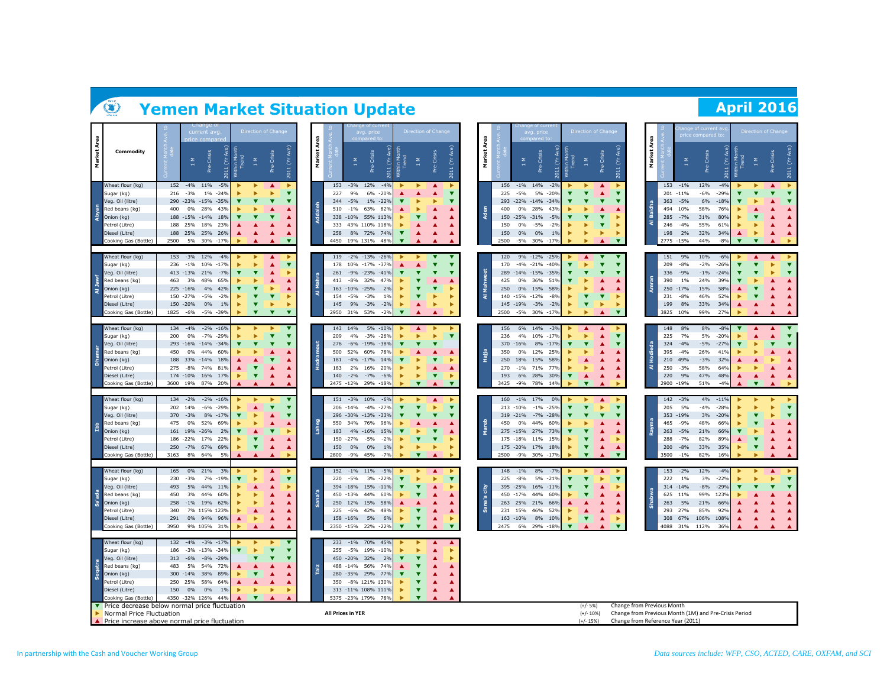# **Yemen Market Situation Update April 2016**

|                |                                                                         |             | current avg                          |                        |            |                         | Direction of Change      |                              |                |                   |                            | avg. price                         |                                  |                                                         | Direction of Chang      |                              |             |             |                        | avg. price                         |                 |                         | Direction of Chan                                  |                         |                                                       |             |             |                   | ge of current a<br>rice compared t |                  |                         | Direction of Chang           |                                                    |
|----------------|-------------------------------------------------------------------------|-------------|--------------------------------------|------------------------|------------|-------------------------|--------------------------|------------------------------|----------------|-------------------|----------------------------|------------------------------------|----------------------------------|---------------------------------------------------------|-------------------------|------------------------------|-------------|-------------|------------------------|------------------------------------|-----------------|-------------------------|----------------------------------------------------|-------------------------|-------------------------------------------------------|-------------|-------------|-------------------|------------------------------------|------------------|-------------------------|------------------------------|----------------------------------------------------|
| Market Area    | Commodity                                                               |             | Pre-Crisis<br>Σ                      | Ĕ<br>2011              | Trend<br>â | $1\,$ M                 | -Crisis<br>è             | 2011 (Yr Ave)                | Area<br>Market |                   | Σ                          | Pre-Crisis                         | hin Mc<br>Trend<br>혼             | $\frac{8}{11}$                                          | Pre-Crisis              | 2011 (Yr Ave)                | Market Area |             | $\frac{\Sigma}{1}$     | Pre-Crisis                         | 2011 (Yr Ave)   | Athin Month<br>Trend    | $\frac{1}{2}$                                      | Pre-Crisis              | 2011 (Yr Ave)                                         | Market Area |             | 1 M               | Pre-Crisis                         | έ                | Trend                   | Σ                            | 2011 (Yr Ave)<br>Pre-Crisis                        |
|                | Wheat flour (kg)                                                        | 152         | $-4%$<br>11%                         | $-5%$                  |            |                         |                          | $\overline{\mathbf{v}}$      |                | 153               | $-3%$<br>9%                | 12%                                | $-4%$                            |                                                         |                         | v                            |             | 156         | $-1\%$ 14%<br>$-5%$    |                                    | $-2%$           |                         |                                                    | ▲<br>▲                  | $\overline{\textbf{v}}$                               |             | 153         | $-1%$             | 12%<br>$-6%$                       | $-4%$            |                         |                              | ▶<br>▲                                             |
|                | Sugar (kg)<br>Veg. Oil (litre)                                          |             | 216 - 3%<br>290 -23% -15% -35%       | 1% -24%                |            |                         | $\overline{\phantom{a}}$ |                              |                | 227<br>344        | $-5%$                      | 6% -20%<br>1% -22%                 |                                  |                                                         |                         | ▼                            |             | 225<br>293  |                        | 5%<br>$-22\% -14\% -34\%$          | $-20%$          |                         |                                                    | ▼                       | v                                                     |             | 363         | 201 -11%<br>$-5%$ | 6%                                 | $-29%$<br>$-18%$ |                         |                              | ▼<br>▼                                             |
|                | Red beans (kg)                                                          | 400         | 28%<br>$0\%$                         | 43%                    |            |                         | ▲                        |                              |                | 510               | $-1\%$                     | 63%                                | 82%                              |                                                         |                         |                              |             | 400         | 0%                     | 28%                                | 43%             |                         |                                                    |                         |                                                       |             | 494         | 10%               | 58%                                | 76%              |                         |                              | ▲                                                  |
| Abyan          | Onion (kg)                                                              |             | 188 -15% -14%                        | 18%                    |            |                         |                          |                              |                |                   |                            | 338 -10% 55% 113%                  |                                  |                                                         |                         |                              |             | 150         | $-25\% -31\%$          |                                    | $-5%$           |                         |                                                    | ▼                       |                                                       | 홂           | 285         | $-7%$             | 31%                                | 80%              |                         |                              |                                                    |
|                | Petrol (Litre)                                                          | 188         | 25%<br>18%                           | 23%                    |            |                         |                          |                              |                | 333               |                            | 43% 110% 118%                      |                                  |                                                         |                         |                              |             | 150         | $0\%$                  | $-5%$                              | $-2%$           |                         |                                                    |                         |                                                       | ্ব          | 246         | $-4%$             | 55%                                | 619              |                         |                              | ▲                                                  |
|                | Diesel (Litre)                                                          |             | 188 25% 25% 26%                      |                        |            |                         | ▲                        |                              |                | 258               |                            | 8% 72% 74%                         | $\overline{\mathbf{v}}$          |                                                         |                         |                              |             | 150         | $0\%$                  | 0%                                 | 1%              |                         | ь                                                  | ь                       |                                                       |             | 198         | 2%                | 32%                                | 34%              | ▲                       |                              | $\blacktriangle$                                   |
|                | Cooking Gas (Bottle)                                                    | 2500        | 5% 30% -17%                          |                        |            |                         | ▲                        | $\overline{\mathbf{v}}$      |                |                   |                            | 4450 19% 131% 48%                  | $\overline{\phantom{a}}$         |                                                         |                         |                              |             | 2500        |                        | -5% 30% -17%                       |                 |                         |                                                    |                         | $\overline{\mathbf{v}}$                               |             |             | 2775 -15%         | 44%                                | $-8%$            | $\overline{\mathbf{v}}$ | $\overline{\mathbf{v}}$      |                                                    |
|                | Wheat flour (kg)<br>Sugar (kg)                                          | 236         | 153 - 3%<br>12%<br>$-1\%$<br>10%     | $-4%$<br>$-17%$        |            |                         | ▲<br>▲                   | $\overline{\textbf{v}}$      |                | 119               |                            | -2% -13% -26%<br>178 10% -17% -37% |                                  |                                                         |                         | ▼<br>▼                       |             | 120<br>170  |                        | 9% -12% -25%<br>$-4\% -21\% -40\%$ |                 |                         |                                                    | ▼<br>▼                  | ▼<br>$\overline{\textbf{v}}$                          |             | 151<br>209  | 9%<br>$-8%$       | 10%<br>$-2%$                       | $-6%$<br>$-26%$  |                         | ▲<br>$\overline{\textbf{v}}$ | ▲<br>$\overline{\textbf{v}}$                       |
|                | Veg. Oil (litre)                                                        |             | 413 -13%<br>21%                      | $-7%$                  |            |                         | ▲                        |                              |                | 261               |                            | -9% -23% -41%                      |                                  |                                                         |                         | ▼                            |             | 289         |                        | $-14\% -15\% -35\%$                |                 |                         |                                                    | ▼                       | v                                                     |             | 336         | $-9%$             | $-1\%$                             | $-24%$           |                         |                              | $\overline{\textbf{v}}$                            |
| Al Jawf        | Red beans (kg)                                                          | 463         | 3%<br>48%                            | 65%                    |            |                         | ь                        |                              | Í              | 413               | $-8%$                      | 32%                                | 47%                              |                                                         |                         |                              |             | 425         | 0%                     | 36%                                | 51%             |                         |                                                    |                         |                                                       |             | 390         | $1\%$             | 24%                                | 39%              |                         |                              | ▲                                                  |
|                | Onion (kg)<br>Petrol (Litre)                                            |             | 225 -16%<br>4%<br>$-5%$<br>150 - 27% | 42%<br>$-2%$           |            |                         | $\overline{\textbf{v}}$  |                              | ਕ              | 154               | 163 -10% -25%<br>$-5%$     | $-3%$                              | 2%<br>1%                         |                                                         | $\overline{\mathbf{v}}$ |                              | £<br>ਕ      | 250<br>140  | $-15\% -12\%$          | 0% 15%                             | 58%<br>$-8%$    |                         | $\overline{\textbf{v}}$                            | $\overline{\textbf{v}}$ |                                                       |             | 231         | 250 -17%<br>$-8%$ | 15%<br>46%                         | 58%<br>52%       |                         |                              | $\blacktriangle$                                   |
|                | Diesel (Litre)                                                          |             | 150 -20%<br>0%                       | 1%                     |            |                         | ь                        |                              |                | 145               | 9%                         | $-3%$                              | $-2%$                            |                                                         | ×                       | ь                            |             |             | 145 - 19%              | $-3%$                              | $-2%$           |                         | $\overline{\textbf{v}}$                            | ь                       | ь                                                     |             | 199         | 8%                | 33%                                | 34%              | ▲                       |                              | ▲<br>▲                                             |
|                | Cooking Gas (Bottle)                                                    | 1825        | $-6%$<br>$-5%$                       | $-39%$                 |            | $\overline{\textbf{v}}$ | $\overline{\mathbf{v}}$  | $\overline{\mathbf{v}}$      |                |                   | 2950 31%                   | 53%                                | $-2%$<br>$\overline{\mathbf{v}}$ |                                                         |                         |                              |             | 2500        | $-5%$                  | 30% -17%                           |                 |                         | ь                                                  |                         | $\blacktriangledown$                                  |             | 3825        | 10%               | 99%                                | 27%              |                         |                              |                                                    |
|                |                                                                         |             |                                      |                        |            |                         |                          |                              |                |                   |                            |                                    |                                  |                                                         |                         |                              |             |             |                        |                                    |                 |                         |                                                    |                         |                                                       |             |             |                   |                                    |                  |                         |                              |                                                    |
|                | Wheat flour (kg)<br>Sugar (kg)                                          | 200         | 134 -4%<br>$0\%$<br>$-7%$            | $-2\% -16\%$<br>$-29%$ |            |                         | $\overline{\phantom{a}}$ | ▼<br>$\overline{\mathbf{v}}$ |                | 209               | 143 14%<br>4%              | 5% -10%<br>$-3%$                   | $-269$                           |                                                         | ь                       | Þ<br>$\overline{\textbf{v}}$ |             | 156<br>236  | 4%                     | 6% 14%<br>10%                      | $-3%$<br>$-17%$ |                         | ▲                                                  | ▲                       | $\overline{\textbf{v}}$                               |             | 148<br>225  | 8%<br>7%          | 8%<br>5%                           | $-8%$<br>$-20%$  |                         | ▲                            | ▼<br>▴<br>$\blacktriangledown$<br>▲                |
|                | Veg. Oil (litre)                                                        |             | 293 -16% -14% -34%                   |                        |            |                         |                          |                              |                | 276               |                            | $-6\% -19\% -38\%$                 |                                  |                                                         |                         |                              |             | 370         | $-16%$                 | 8% -17%                            |                 |                         |                                                    | ▲                       | v                                                     |             | 324         | $-4%$             | $-5%$                              | $-27%$           |                         |                              | $\overline{\mathbf{v}}$                            |
|                | Red beans (kg)                                                          | 450         | 0%<br>44%                            | 60%                    |            |                         |                          |                              |                | 500               | 52%                        | 60%                                | 78%                              |                                                         |                         |                              | Hajja       | 350         | 0%                     | 12%                                | 25%             |                         |                                                    |                         |                                                       |             | 395         | $-4%$             | 26%                                | 41%              |                         |                              | ▲                                                  |
| <b>Dhamar</b>  | Onion (kg)                                                              | 188         | 33% -14% 18%                         |                        |            |                         |                          |                              |                | 181               | $-4\% -17\%$               |                                    | 14%                              |                                                         |                         |                              |             | 250         | 18%                    | 15%                                | 58%             |                         |                                                    |                         |                                                       | Та<br>Ногі  | 210         | 49%               | $-3%$                              | 32%              |                         |                              |                                                    |
|                | Petrol (Litre)                                                          | 275         | $-8%$<br>74%                         | 81%                    |            |                         | ▲                        |                              |                | 183               | 2%                         | 16%                                | 20%                              |                                                         | $\overline{\textbf{v}}$ |                              |             | 270         | $-1\%$                 | 71%                                | 77%             |                         |                                                    |                         |                                                       | द           | 250         | $-3%$             | 58%                                | 64%              | Δ                       |                              | ▲                                                  |
|                | Diesel (Litre)<br>Cooking Gas (Bottle)                                  |             | 174 -10% 16% 17%<br>3600 19%<br>87%  | 20%                    |            |                         | ▲                        |                              |                | 140               | $-2%$<br>2475 -12%         | $-7%$<br>29%                       | $-6%$<br>$-189$                  | $\overline{\mathbf{v}}$                                 |                         | ь<br>▼                       |             | 193<br>3425 | $-9%$                  | 6% 28%<br>78%                      | 30%<br>14%      |                         | $\blacktriangle$<br>$\overline{\mathbf{v}}$        |                         | ▲                                                     |             | 220         | 9%<br>2900 -19%   | 47%<br>51%                         | 48%<br>$-4%$     |                         | ▲<br>$\overline{\textbf{v}}$ | ▲                                                  |
|                |                                                                         |             |                                      |                        |            |                         |                          |                              |                |                   |                            |                                    |                                  |                                                         |                         |                              |             |             |                        |                                    |                 |                         |                                                    |                         |                                                       |             |             |                   |                                    |                  |                         |                              |                                                    |
|                | Wheat flour (kg)                                                        |             | 134 -2%                              | $-2\% -16\%$           |            |                         |                          | ▼                            |                | 151               | $-3%$                      | 10%                                | $-6%$                            |                                                         | ▲                       |                              |             | 160         | $-1\% - 17\%$          |                                    | 0%              |                         |                                                    | ▲                       |                                                       |             | 142         | $-3%$             | 4%                                 | $-11%$           |                         |                              |                                                    |
|                | Sugar (kg)<br>Veg. Oil (litre)                                          | 202<br>370  | 14%<br>-6%<br>$-3%$                  | $-299$<br>8% -17%      |            |                         | ▲                        |                              |                |                   | 206 -14%<br>296 -30% -13%  | $-4%$<br>$-339$                    | $-279$                           |                                                         |                         | v<br>v                       |             |             | 213 -10%<br>319 -21%   | $-1%$<br>-7% -28%                  | $-25%$          |                         |                                                    |                         | $\overline{\textbf{v}}$<br>v                          |             | 205<br>353  | 5%<br>$-19%$      | $-4%$<br>3%                        | $-289$<br>$-20%$ |                         |                              | $\overline{\textbf{v}}$<br>$\overline{\textbf{v}}$ |
|                | Red beans (kg)                                                          | 475         | 52%<br>0%                            | 69%                    |            |                         | ▲                        |                              |                |                   | 550 34%                    | 76%                                | 96%                              |                                                         |                         |                              |             | 450         | $0\%$                  | 44%                                | 60%             |                         |                                                    |                         |                                                       |             | 465         | $-9%$             | 48%                                | 66%              |                         |                              |                                                    |
| dqI            | Onion (kg)                                                              |             | 161 19% -26%                         | 2%                     |            |                         |                          |                              |                | 183               | 4% -16%                    |                                    | 15%                              |                                                         | ▼                       |                              |             |             | 275 -15% 27%           |                                    | 73%             |                         |                                                    |                         |                                                       | Ray         | 263         | $-5%$             | 21%                                | 66%              |                         |                              | ▲                                                  |
|                | Petrol (Litre)                                                          |             | 186 -22%<br>17%                      | 22%                    |            |                         | ▲                        |                              |                |                   | 150 - 27%                  | $-5%$                              | $-2%$                            | ▼                                                       | v                       |                              |             |             | 175 - 18%              | 11%                                | 15%             |                         |                                                    |                         |                                                       |             | 288         | $-7%$             | 82%                                | 89%              |                         | ▼                            | ▲                                                  |
|                | Diesel (Litre)<br>Cooking Gas (Bottle)                                  | 250<br>3163 | $-7%$<br>67%<br>8%<br>64%            | 69%<br>5%              |            |                         | $\blacktriangle$         |                              |                | 150<br>2800       | 0%<br>$-9%$                | 0%<br>45%                          | 1%<br>$-7%$                      | ь<br>$\overline{\mathbf{v}}$                            |                         | ▶                            |             | 2500        | 175 - 20% 17%<br>$-9%$ | 30%                                | 18%<br>$-179$   |                         | $\overline{\textbf{v}}$<br>$\overline{\textbf{v}}$ | ▲                       | ▲<br>$\overline{\mathbf{v}}$                          |             | 200<br>3500 | $-8%$<br>$-1%$    | 33%<br>82%                         | 35%<br>16%       | ь                       | $\overline{\textbf{v}}$      | ▲<br>▲                                             |
|                |                                                                         |             |                                      |                        |            |                         |                          |                              |                |                   |                            |                                    |                                  |                                                         |                         |                              |             |             |                        |                                    |                 |                         |                                                    |                         |                                                       |             |             |                   |                                    |                  |                         |                              |                                                    |
|                | Wheat flour (kg)                                                        | 165         | 0% 21%                               | 3%                     |            |                         | ▲                        |                              |                |                   | 152 -1% 11%                |                                    | $-5%$                            |                                                         | ▲                       | ▶                            |             | 148         | $-1\%$                 | 8%                                 | $-7%$           |                         | ▶                                                  | ▲                       | ▶                                                     |             | 153         | $-2%$             | 12%                                | $-4%$            |                         |                              | ▶<br>▲                                             |
|                | Sugar (kg)<br>/eg. Oil (litre)                                          | 230<br>493  | 7%<br>$-3%$<br>5%<br>44%             | $-19%$<br>119          |            |                         | ▲<br>▲                   |                              |                | 220               | $-5%$<br>394 - 18%         | 3%<br>15%                          | $-229$<br>$-119$                 |                                                         | ь<br>$\blacktriangle$   | $\overline{\textbf{v}}$<br>ь |             | 225<br>395  | $-8%$<br>$-25%$        | 5% -21%<br>16%                     | $-11%$          |                         |                                                    |                         | $\overline{\textbf{v}}$                               |             | 222<br>314  | $1\%$<br>$-14%$   | 3%<br>$-8%$                        | $-22%$<br>$-29%$ | ▼                       |                              | $\overline{\textbf{v}}$<br>$\overline{\textbf{v}}$ |
|                | Red beans (kg)                                                          | 450         | 44%<br>3%                            | 60%                    |            |                         |                          |                              |                |                   | 450 -13%                   | 44%                                | 60%                              |                                                         |                         |                              | city        | 450         | $-17%$                 | 44%                                | 60%             |                         |                                                    |                         |                                                       |             | 625         | 11%               | 99%                                | 123%             |                         |                              |                                                    |
| sa'ada         | Onion (kg)                                                              | 258         | -1% 19% 62%                          |                        |            |                         |                          |                              |                |                   | 250 12% 15%                |                                    | 58%                              |                                                         |                         |                              |             | 263         | 25% 21%                |                                    | 66%             |                         |                                                    |                         |                                                       |             | 263         | 5%                | 21%                                | 66%              |                         |                              | ▲                                                  |
|                | Petrol (Litre)                                                          | 340         | 7% 115% 123%                         |                        |            |                         | ▲                        |                              |                | 225               | -6%                        | 42%                                | 48%                              |                                                         |                         |                              |             | 231         | 15%                    | 46%                                | 52%             |                         | ▲                                                  |                         |                                                       |             | 293         | 27%               | 85%                                | 92%              |                         |                              | ▲                                                  |
|                | Diesel (Litre)<br>Cooking Gas (Bottle)                                  | 291<br>3950 | 0%<br>9% 105%                        | 94% 96%<br>31%         |            |                         | ▲<br>▲                   |                              |                |                   | 158 - 16%<br>2350 -15% 22% | 5%                                 | 6%<br>$-22%$                     | v<br>$\overline{\mathbf{v}}$<br>$\overline{\mathbf{v}}$ | ▲                       | ь<br>$\overline{\mathbf{v}}$ |             | 163<br>2475 | $-10%$<br>6%           | 8%<br>29%                          | 10%<br>$-18%$   | $\overline{\mathbf{v}}$ | $\overline{\textbf{v}}$                            |                         | $\overline{\mathbf{v}}$                               |             | 308<br>4088 | 67%<br>31%        | 106%<br>112%                       | 108%<br>36%      | ▲                       |                              | ▲                                                  |
|                |                                                                         |             |                                      |                        |            |                         |                          |                              |                |                   |                            |                                    |                                  |                                                         |                         |                              |             |             |                        |                                    |                 |                         |                                                    |                         |                                                       |             |             |                   |                                    |                  |                         |                              |                                                    |
|                | Wheat flour (kg)                                                        |             | 132 -4%                              | $-3\% -17$             |            |                         |                          |                              |                |                   | 233 -1% 70%                |                                    | 45%                              |                                                         |                         | ▲                            |             |             |                        |                                    |                 |                         |                                                    |                         |                                                       |             |             |                   |                                    |                  |                         |                              |                                                    |
|                | Sugar (kg)                                                              | 186         | $-13%$<br>$-3%$                      | $-349$                 |            |                         |                          |                              |                | 255               | $-5%$                      | 19%                                | $-109$                           |                                                         |                         | ь                            |             |             |                        |                                    |                 |                         |                                                    |                         |                                                       |             |             |                   |                                    |                  |                         |                              |                                                    |
|                | Veg. Oil (litre)<br>Red beans (kg)                                      | 313<br>483  | $-6%$<br>5%<br>54%                   | $-8\% -29\%$<br>72%    |            |                         |                          |                              |                |                   | 450 -20%<br>488 -14% 56%   | 32%                                | 2%<br>74%                        |                                                         |                         | ь                            |             |             |                        |                                    |                 |                         |                                                    |                         |                                                       |             |             |                   |                                    |                  |                         |                              |                                                    |
| <b>Soqatra</b> | Onion (kg)                                                              |             | 300 - 14%<br>38%                     | 89%                    |            |                         | ▲                        |                              |                |                   | 280 - 35% 29%              |                                    | 77%                              |                                                         |                         | ▲                            |             |             |                        |                                    |                 |                         |                                                    |                         |                                                       |             |             |                   |                                    |                  |                         |                              |                                                    |
|                | Petrol (Litre)                                                          | 250         | 25%<br>58%                           | 64%                    |            |                         | ▲                        |                              |                | 350               |                            | -8% 121% 130%                      |                                  |                                                         |                         | ▲                            |             |             |                        |                                    |                 |                         |                                                    |                         |                                                       |             |             |                   |                                    |                  |                         |                              |                                                    |
|                | Diesel (Litre)                                                          | 150         | $0\%$<br>$0\%$                       | 1%                     |            |                         |                          |                              |                |                   |                            | 313 -11% 108% 111%                 |                                  | ▼                                                       |                         |                              |             |             |                        |                                    |                 |                         |                                                    |                         |                                                       |             |             |                   |                                    |                  |                         |                              |                                                    |
|                | Cooking Gas (Bottle)<br>▼ Price decrease below normal price fluctuation |             | 4350 -32% 126%                       | 44%                    |            |                         |                          |                              |                |                   | 5375 -23% 179%             |                                    | 78%                              | v                                                       |                         |                              |             |             |                        |                                    |                 |                         | $(+/- 5%)$                                         |                         | Change from Previous Month                            |             |             |                   |                                    |                  |                         |                              |                                                    |
|                | Normal Price Fluctuation                                                |             |                                      |                        |            |                         |                          |                              |                | All Prices in YER |                            |                                    |                                  |                                                         |                         |                              |             |             |                        |                                    |                 |                         | $(+/- 10%)$                                        |                         | Change from Previous Month (1M) and Pre-Crisis Period |             |             |                   |                                    |                  |                         |                              |                                                    |
|                | Price increase above normal price fluctuation                           |             |                                      |                        |            |                         |                          |                              |                |                   |                            |                                    |                                  |                                                         |                         |                              |             |             |                        |                                    |                 |                         | $(+/- 15%)$                                        |                         | Change from Reference Year (2011)                     |             |             |                   |                                    |                  |                         |                              |                                                    |